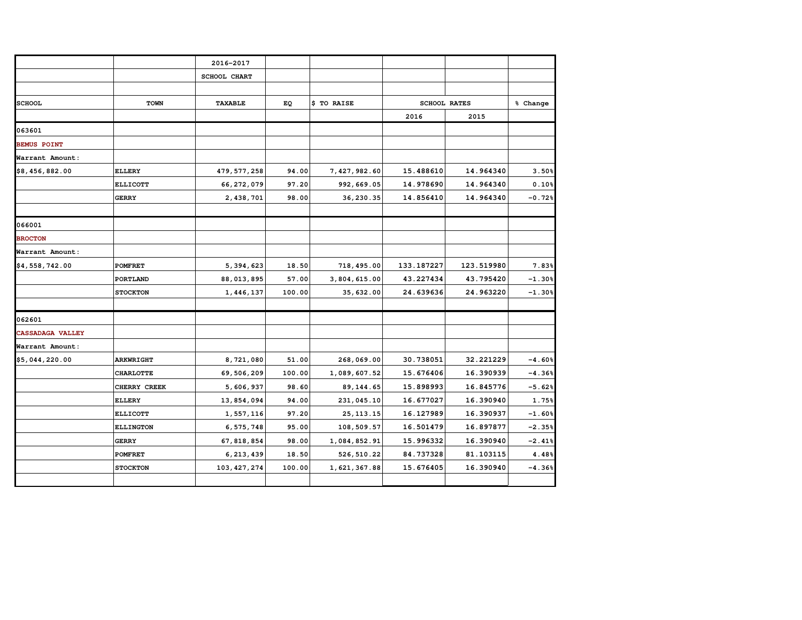|                         |                  | 2016-2017           |        |              |            |                     |          |
|-------------------------|------------------|---------------------|--------|--------------|------------|---------------------|----------|
|                         |                  | <b>SCHOOL CHART</b> |        |              |            |                     |          |
|                         |                  |                     |        |              |            |                     |          |
| <b>SCHOOL</b>           | <b>TOWN</b>      | <b>TAXABLE</b>      | EQ     | \$ TO RAISE  |            | <b>SCHOOL RATES</b> | % Change |
|                         |                  |                     |        |              | 2016       | 2015                |          |
| 063601                  |                  |                     |        |              |            |                     |          |
| <b>BEMUS POINT</b>      |                  |                     |        |              |            |                     |          |
| Warrant Amount:         |                  |                     |        |              |            |                     |          |
| \$8,456,882.00          | <b>ELLERY</b>    | 479, 577, 258       | 94.00  | 7,427,982.60 | 15.488610  | 14.964340           | 3.50%    |
|                         | <b>ELLICOTT</b>  | 66, 272, 079        | 97.20  | 992,669.05   | 14.978690  | 14.964340           | 0.10%    |
|                         | <b>GERRY</b>     | 2, 438, 701         | 98.00  | 36, 230.35   | 14.856410  | 14.964340           | $-0.72%$ |
|                         |                  |                     |        |              |            |                     |          |
| 066001                  |                  |                     |        |              |            |                     |          |
| <b>BROCTON</b>          |                  |                     |        |              |            |                     |          |
| Warrant Amount:         |                  |                     |        |              |            |                     |          |
| \$4,558,742.00          | <b>POMFRET</b>   | 5, 394, 623         | 18.50  | 718,495.00   | 133.187227 | 123.519980          | 7.83%    |
|                         | <b>PORTLAND</b>  | 88, 013, 895        | 57.00  | 3,804,615.00 | 43.227434  | 43.795420           | $-1.30%$ |
|                         | <b>STOCKTON</b>  | 1,446,137           | 100.00 | 35,632.00    | 24.639636  | 24.963220           | $-1.30%$ |
|                         |                  |                     |        |              |            |                     |          |
| 062601                  |                  |                     |        |              |            |                     |          |
| <b>CASSADAGA VALLEY</b> |                  |                     |        |              |            |                     |          |
| Warrant Amount:         |                  |                     |        |              |            |                     |          |
| \$5,044,220.00          | <b>ARKWRIGHT</b> | 8,721,080           | 51.00  | 268,069.00   | 30.738051  | 32.221229           | $-4.60%$ |
|                         | <b>CHARLOTTE</b> | 69,506,209          | 100.00 | 1,089,607.52 | 15.676406  | 16.390939           | $-4.36%$ |
|                         | CHERRY CREEK     | 5,606,937           | 98.60  | 89, 144.65   | 15.898993  | 16.845776           | $-5.62%$ |
|                         | <b>ELLERY</b>    | 13,854,094          | 94.00  | 231,045.10   | 16.677027  | 16.390940           | 1.75%    |
|                         | <b>ELLICOTT</b>  | 1,557,116           | 97.20  | 25, 113. 15  | 16.127989  | 16.390937           | $-1.60%$ |
|                         | <b>ELLINGTON</b> | 6,575,748           | 95.00  | 108,509.57   | 16.501479  | 16.897877           | $-2.35%$ |
|                         | <b>GERRY</b>     | 67, 818, 854        | 98.00  | 1,084,852.91 | 15.996332  | 16.390940           | $-2.41%$ |
|                         | <b>POMFRET</b>   | 6, 213, 439         | 18.50  | 526, 510.22  | 84.737328  | 81.103115           | 4.48%    |
|                         | <b>STOCKTON</b>  | 103, 427, 274       | 100.00 | 1,621,367.88 | 15.676405  | 16.390940           | $-4.36%$ |
|                         |                  |                     |        |              |            |                     |          |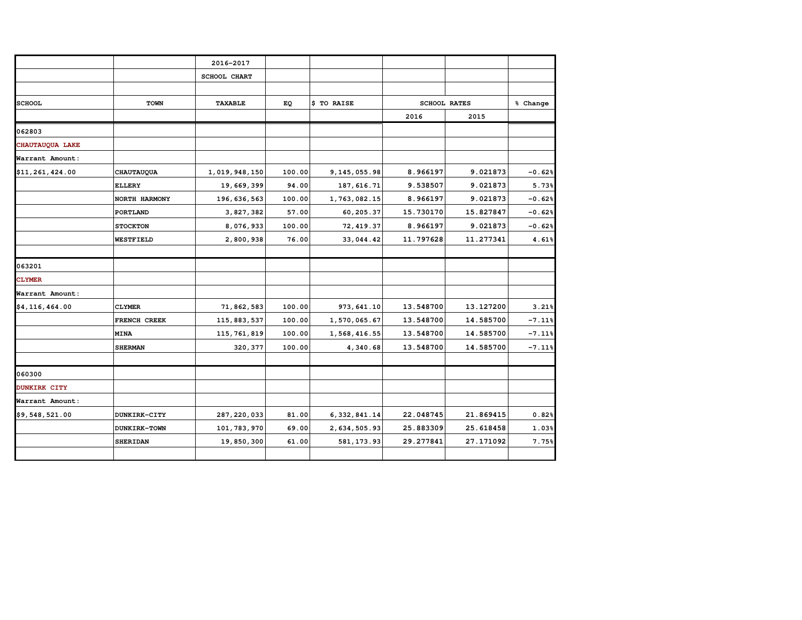|                  |                   | 2016-2017           |        |                |           |                     |          |
|------------------|-------------------|---------------------|--------|----------------|-----------|---------------------|----------|
|                  |                   | <b>SCHOOL CHART</b> |        |                |           |                     |          |
|                  |                   |                     |        |                |           |                     |          |
| <b>SCHOOL</b>    | TOWN              | <b>TAXABLE</b>      | EQ     | \$ TO RAISE    |           | <b>SCHOOL RATES</b> | % Change |
|                  |                   |                     |        |                | 2016      | 2015                |          |
| 062803           |                   |                     |        |                |           |                     |          |
| CHAUTAUQUA LAKE  |                   |                     |        |                |           |                     |          |
| Warrant Amount:  |                   |                     |        |                |           |                     |          |
| \$11,261,424.00  | <b>CHAUTAUQUA</b> | 1,019,948,150       | 100.00 | 9, 145, 055.98 | 8.966197  | 9.021873            | $-0.62%$ |
|                  | <b>ELLERY</b>     | 19,669,399          | 94.00  | 187, 616.71    | 9.538507  | 9.021873            | 5.73%    |
|                  | NORTH HARMONY     | 196, 636, 563       | 100.00 | 1,763,082.15   | 8.966197  | 9.021873            | $-0.62%$ |
|                  | PORTLAND          | 3,827,382           | 57.00  | 60,205.37      | 15.730170 | 15.827847           | $-0.62%$ |
|                  | <b>STOCKTON</b>   | 8,076,933           | 100.00 | 72, 419.37     | 8.966197  | 9.021873            | $-0.62%$ |
|                  | <b>WESTFIELD</b>  | 2,800,938           | 76.00  | 33,044.42      | 11.797628 | 11.277341           | 4.61%    |
|                  |                   |                     |        |                |           |                     |          |
| 063201           |                   |                     |        |                |           |                     |          |
| <b>CLYMER</b>    |                   |                     |        |                |           |                     |          |
| Warrant Amount:  |                   |                     |        |                |           |                     |          |
| \$4, 116, 464.00 | <b>CLYMER</b>     | 71,862,583          | 100.00 | 973, 641.10    | 13.548700 | 13.127200           | 3.21%    |
|                  | FRENCH CREEK      | 115, 883, 537       | 100.00 | 1,570,065.67   | 13.548700 | 14.585700           | $-7.11%$ |
|                  | <b>MINA</b>       | 115, 761, 819       | 100.00 | 1,568,416.55   | 13.548700 | 14.585700           | $-7.11%$ |
|                  | <b>SHERMAN</b>    | 320, 377            | 100.00 | 4,340.68       | 13.548700 | 14.585700           | $-7.11%$ |
|                  |                   |                     |        |                |           |                     |          |
| 060300           |                   |                     |        |                |           |                     |          |
| DUNKIRK CITY     |                   |                     |        |                |           |                     |          |
| Warrant Amount:  |                   |                     |        |                |           |                     |          |
| \$9,548,521.00   | DUNKIRK-CITY      | 287, 220, 033       | 81.00  | 6, 332, 841.14 | 22.048745 | 21.869415           | 0.82%    |
|                  | DUNKIRK-TOWN      | 101, 783, 970       | 69.00  | 2,634,505.93   | 25.883309 | 25.618458           | 1.03%    |
|                  | <b>SHERIDAN</b>   | 19,850,300          | 61.00  | 581, 173.93    | 29.277841 | 27.171092           | 7.75%    |
|                  |                   |                     |        |                |           |                     |          |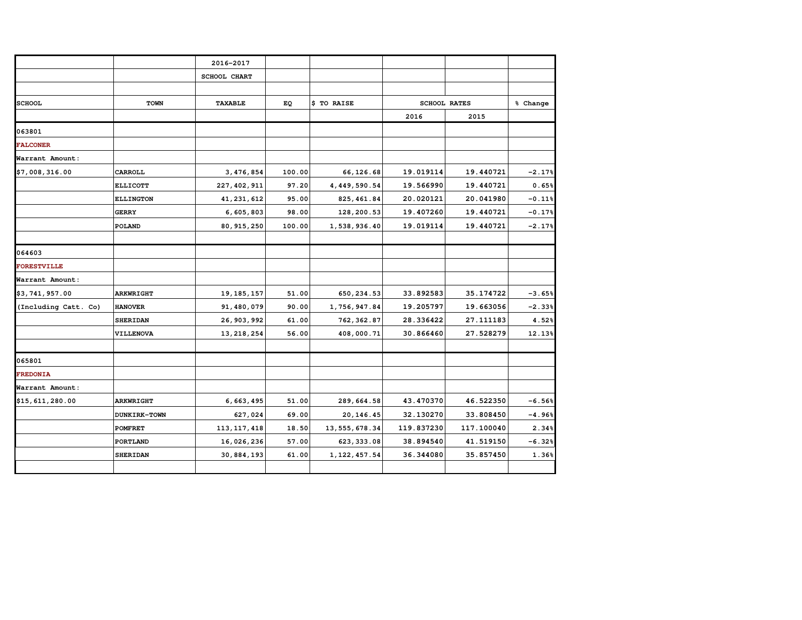|                      |                     | 2016-2017           |        |                 |            |                     |          |
|----------------------|---------------------|---------------------|--------|-----------------|------------|---------------------|----------|
|                      |                     | <b>SCHOOL CHART</b> |        |                 |            |                     |          |
|                      |                     |                     |        |                 |            |                     |          |
| <b>SCHOOL</b>        | <b>TOWN</b>         | <b>TAXABLE</b>      | EQ     | \$ TO RAISE     |            | <b>SCHOOL RATES</b> | % Change |
|                      |                     |                     |        |                 | 2016       | 2015                |          |
| 063801               |                     |                     |        |                 |            |                     |          |
| <b>FALCONER</b>      |                     |                     |        |                 |            |                     |          |
| Warrant Amount:      |                     |                     |        |                 |            |                     |          |
| \$7,008,316.00       | CARROLL             | 3, 476, 854         | 100.00 | 66, 126.68      | 19.019114  | 19.440721           | $-2.17%$ |
|                      | <b>ELLICOTT</b>     | 227, 402, 911       | 97.20  | 4,449,590.54    | 19.566990  | 19.440721           | 0.65%    |
|                      | <b>ELLINGTON</b>    | 41, 231, 612        | 95.00  | 825, 461.84     | 20.020121  | 20.041980           | $-0.11%$ |
|                      | <b>GERRY</b>        | 6,605,803           | 98.00  | 128,200.53      | 19.407260  | 19.440721           | $-0.17%$ |
|                      | <b>POLAND</b>       | 80, 915, 250        | 100.00 | 1,538,936.40    | 19.019114  | 19.440721           | $-2.17%$ |
|                      |                     |                     |        |                 |            |                     |          |
| 064603               |                     |                     |        |                 |            |                     |          |
| <b>FORESTVILLE</b>   |                     |                     |        |                 |            |                     |          |
| Warrant Amount:      |                     |                     |        |                 |            |                     |          |
| \$3,741,957.00       | <b>ARKWRIGHT</b>    | 19, 185, 157        | 51.00  | 650, 234.53     | 33.892583  | 35.174722           | $-3.65%$ |
| (Including Catt. Co) | <b>HANOVER</b>      | 91,480,079          | 90.00  | 1,756,947.84    | 19.205797  | 19.663056           | $-2.33%$ |
|                      | <b>SHERIDAN</b>     | 26, 903, 992        | 61.00  | 762, 362.87     | 28.336422  | 27.111183           | 4.52%    |
|                      | VILLENOVA           | 13, 218, 254        | 56.00  | 408,000.71      | 30.866460  | 27.528279           | 12.13%   |
|                      |                     |                     |        |                 |            |                     |          |
| 065801               |                     |                     |        |                 |            |                     |          |
| <b>FREDONIA</b>      |                     |                     |        |                 |            |                     |          |
| Warrant Amount:      |                     |                     |        |                 |            |                     |          |
| \$15,611,280.00      | <b>ARKWRIGHT</b>    | 6,663,495           | 51.00  | 289,664.58      | 43.470370  | 46.522350           | $-6.56%$ |
|                      | <b>DUNKIRK-TOWN</b> | 627,024             | 69.00  | 20, 146.45      | 32.130270  | 33.808450           | $-4.96%$ |
|                      | <b>POMFRET</b>      | 113, 117, 418       | 18.50  | 13, 555, 678.34 | 119.837230 | 117.100040          | 2.34%    |
|                      | PORTLAND            | 16,026,236          | 57.00  | 623, 333.08     | 38.894540  | 41.519150           | $-6.32%$ |
|                      | <b>SHERIDAN</b>     | 30,884,193          | 61.00  | 1, 122, 457.54  | 36.344080  | 35.857450           | 1.36%    |
|                      |                     |                     |        |                 |            |                     |          |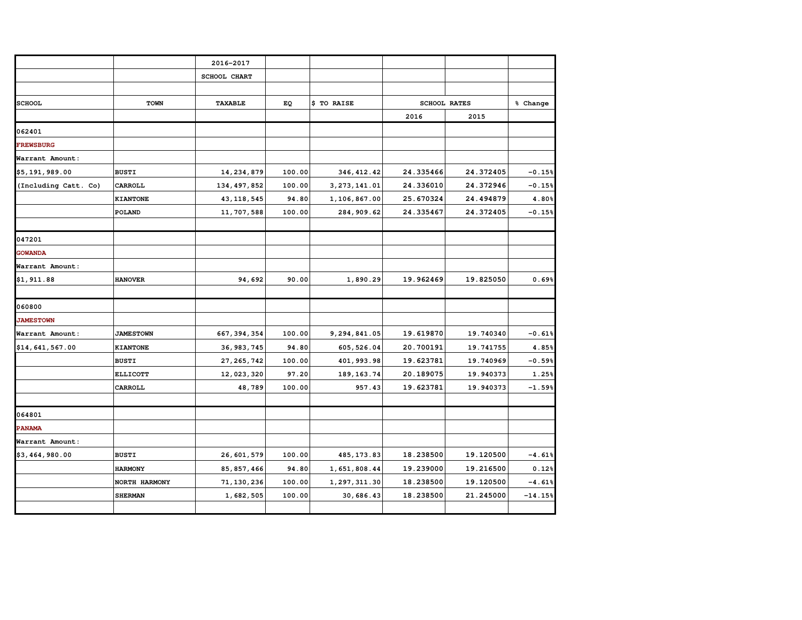|                      |                  | 2016-2017           |        |                |                     |           |           |
|----------------------|------------------|---------------------|--------|----------------|---------------------|-----------|-----------|
|                      |                  | <b>SCHOOL CHART</b> |        |                |                     |           |           |
|                      |                  |                     |        |                |                     |           |           |
| <b>SCHOOL</b>        | <b>TOWN</b>      | <b>TAXABLE</b>      | EQ     | \$ TO RAISE    | <b>SCHOOL RATES</b> |           | % Change  |
|                      |                  |                     |        |                | 2016                | 2015      |           |
| 062401               |                  |                     |        |                |                     |           |           |
| <b>FREWSBURG</b>     |                  |                     |        |                |                     |           |           |
| Warrant Amount:      |                  |                     |        |                |                     |           |           |
| \$5,191,989.00       | <b>BUSTI</b>     | 14, 234, 879        | 100.00 | 346, 412.42    | 24.335466           | 24.372405 | $-0.15%$  |
|                      |                  |                     |        |                |                     |           |           |
| (Including Catt. Co) | CARROLL          | 134, 497, 852       | 100.00 | 3, 273, 141.01 | 24.336010           | 24.372946 | $-0.15%$  |
|                      | KIANTONE         | 43, 118, 545        | 94.80  | 1,106,867.00   | 25.670324           | 24.494879 | 4.80%     |
|                      | POLAND           | 11,707,588          | 100.00 | 284, 909.62    | 24.335467           | 24.372405 | $-0.15%$  |
|                      |                  |                     |        |                |                     |           |           |
| 047201               |                  |                     |        |                |                     |           |           |
| <b>GOWANDA</b>       |                  |                     |        |                |                     |           |           |
| Warrant Amount:      |                  |                     |        |                |                     |           |           |
| \$1,911.88           | <b>HANOVER</b>   | 94,692              | 90.00  | 1,890.29       | 19.962469           | 19.825050 | 0.69%     |
|                      |                  |                     |        |                |                     |           |           |
| 060800               |                  |                     |        |                |                     |           |           |
| <b>JAMESTOWN</b>     |                  |                     |        |                |                     |           |           |
| Warrant Amount:      | <b>JAMESTOWN</b> | 667, 394, 354       | 100.00 | 9,294,841.05   | 19.619870           | 19.740340 | $-0.61%$  |
| \$14,641,567.00      | <b>KIANTONE</b>  | 36, 983, 745        | 94.80  | 605, 526.04    | 20.700191           | 19.741755 | 4.85%     |
|                      | <b>BUSTI</b>     | 27, 265, 742        | 100.00 | 401, 993.98    | 19.623781           | 19.740969 | $-0.59%$  |
|                      | <b>ELLICOTT</b>  | 12,023,320          | 97.20  | 189, 163. 74   | 20.189075           | 19.940373 | 1.25%     |
|                      | CARROLL          | 48,789              | 100.00 | 957.43         | 19.623781           | 19.940373 | $-1.59%$  |
|                      |                  |                     |        |                |                     |           |           |
| 064801               |                  |                     |        |                |                     |           |           |
| <b>PANAMA</b>        |                  |                     |        |                |                     |           |           |
| Warrant Amount:      |                  |                     |        |                |                     |           |           |
| \$3,464,980.00       | <b>BUSTI</b>     | 26,601,579          | 100.00 | 485, 173.83    | 18.238500           | 19.120500 | $-4.61%$  |
|                      | <b>HARMONY</b>   | 85, 857, 466        | 94.80  | 1,651,808.44   | 19.239000           | 19.216500 | 0.12%     |
|                      | NORTH HARMONY    | 71, 130, 236        | 100.00 | 1,297,311.30   | 18.238500           | 19.120500 | $-4.61%$  |
|                      | <b>SHERMAN</b>   | 1,682,505           | 100.00 | 30,686.43      | 18.238500           | 21.245000 | $-14.15%$ |
|                      |                  |                     |        |                |                     |           |           |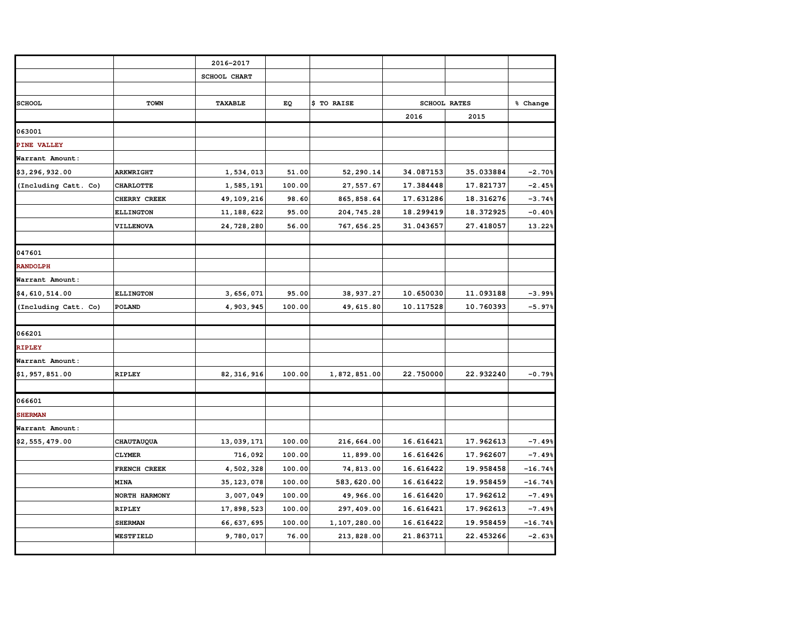|                      |                   | 2016-2017      |        |              |                     |           |           |
|----------------------|-------------------|----------------|--------|--------------|---------------------|-----------|-----------|
|                      |                   | SCHOOL CHART   |        |              |                     |           |           |
|                      |                   |                |        |              |                     |           |           |
| <b>SCHOOL</b>        | <b>TOWN</b>       | <b>TAXABLE</b> | ЕQ     | \$ TO RAISE  | <b>SCHOOL RATES</b> |           | % Change  |
|                      |                   |                |        |              | 2016                | 2015      |           |
| 063001               |                   |                |        |              |                     |           |           |
| PINE VALLEY          |                   |                |        |              |                     |           |           |
| Warrant Amount:      |                   |                |        |              |                     |           |           |
| \$3,296,932.00       | <b>ARKWRIGHT</b>  | 1,534,013      | 51.00  | 52,290.14    | 34.087153           | 35.033884 | $-2.70%$  |
| (Including Catt. Co) | <b>CHARLOTTE</b>  | 1,585,191      | 100.00 | 27, 557.67   | 17.384448           | 17.821737 | $-2.45%$  |
|                      | CHERRY CREEK      | 49, 109, 216   | 98.60  | 865, 858.64  | 17.631286           | 18.316276 | $-3.74%$  |
|                      | <b>ELLINGTON</b>  | 11, 188, 622   | 95.00  | 204, 745.28  | 18.299419           | 18.372925 | $-0.40%$  |
|                      | VILLENOVA         | 24,728,280     | 56.00  | 767, 656.25  | 31.043657           | 27.418057 | 13.22%    |
|                      |                   |                |        |              |                     |           |           |
| 047601               |                   |                |        |              |                     |           |           |
| <b>RANDOLPH</b>      |                   |                |        |              |                     |           |           |
| Warrant Amount:      |                   |                |        |              |                     |           |           |
| \$4,610,514.00       | <b>ELLINGTON</b>  | 3,656,071      | 95.00  | 38, 937.27   | 10.650030           | 11.093188 | $-3.99%$  |
| (Including Catt. Co) | POLAND            | 4,903,945      | 100.00 | 49, 615.80   | 10.117528           | 10.760393 | $-5.97%$  |
|                      |                   |                |        |              |                     |           |           |
| 066201               |                   |                |        |              |                     |           |           |
| <b>RIPLEY</b>        |                   |                |        |              |                     |           |           |
| Warrant Amount:      |                   |                |        |              |                     |           |           |
| \$1,957,851.00       | <b>RIPLEY</b>     | 82, 316, 916   | 100.00 | 1,872,851.00 | 22.750000           | 22.932240 | $-0.79%$  |
|                      |                   |                |        |              |                     |           |           |
| 066601               |                   |                |        |              |                     |           |           |
| <b>SHERMAN</b>       |                   |                |        |              |                     |           |           |
| Warrant Amount:      |                   |                |        |              |                     |           |           |
| \$2,555,479.00       | <b>CHAUTAUQUA</b> | 13,039,171     | 100.00 | 216,664.00   | 16.616421           | 17.962613 | $-7.49%$  |
|                      | <b>CLYMER</b>     | 716,092        | 100.00 | 11,899.00    | 16.616426           | 17.962607 | $-7.49%$  |
|                      | FRENCH CREEK      | 4,502,328      | 100.00 | 74,813.00    | 16.616422           | 19.958458 | $-16.74%$ |
|                      | <b>MINA</b>       | 35, 123, 078   | 100.00 | 583,620.00   | 16.616422           | 19.958459 | $-16.74%$ |
|                      | NORTH HARMONY     | 3,007,049      | 100.00 | 49,966.00    | 16.616420           | 17.962612 | $-7.49%$  |
|                      | <b>RIPLEY</b>     | 17,898,523     | 100.00 | 297, 409.00  | 16.616421           | 17.962613 | $-7.49%$  |
|                      | <b>SHERMAN</b>    | 66, 637, 695   | 100.00 | 1,107,280.00 | 16.616422           | 19.958459 | $-16.74%$ |
|                      | <b>WESTFIELD</b>  | 9,780,017      | 76.00  | 213,828.00   | 21.863711           | 22.453266 | $-2.63%$  |
|                      |                   |                |        |              |                     |           |           |